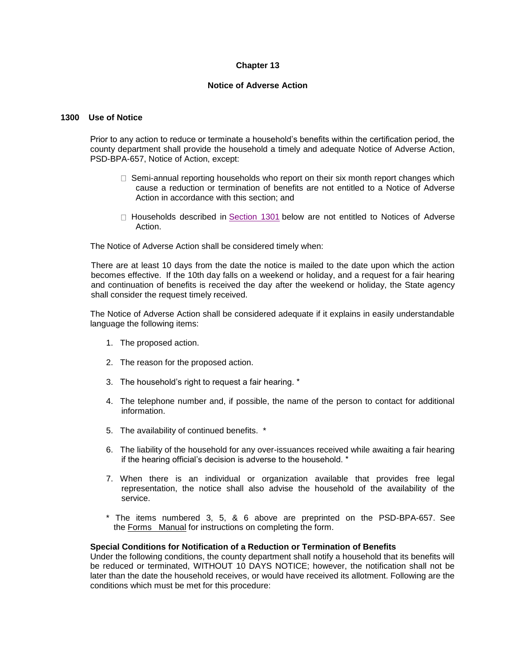# **Chapter 13**

#### **Notice of Adverse Action**

# **1300 Use of Notice**

Prior to any action to reduce or terminate a household's benefits within the certification period, the county department shall provide the household a timely and adequate Notice of Adverse Action, PSD-BPA-657, Notice of Action, except:

- $\Box$  Semi-annual reporting households who report on their six month report changes which cause a reduction or termination of benefits are not entitled to a Notice of Adverse Action in accordance with this section; and
- $\Box$  Households described in  $Section 1301$  below are not entitled to Notices of Adverse Action.

The Notice of Adverse Action shall be considered timely when:

There are at least 10 days from the date the notice is mailed to the date upon which the action becomes effective. If the 10th day falls on a weekend or holiday, and a request for a fair hearing and continuation of benefits is received the day after the weekend or holiday, the State agency shall consider the request timely received.

The Notice of Adverse Action shall be considered adequate if it explains in easily understandable language the following items:

- 1. The proposed action.
- 2. The reason for the proposed action.
- 3. The household's right to request a fair hearing. \*
- 4. The telephone number and, if possible, the name of the person to contact for additional information.
- 5. The availability of continued benefits. \*
- 6. The liability of the household for any over-issuances received while awaiting a fair hearing if the hearing official's decision is adverse to the household. \*
- 7. When there is an individual or organization available that provides free legal representation, the notice shall also advise the household of the availability of the service.
- \* The items numbered 3, 5, & 6 above are preprinted on the PSD-BPA-657. See the Forms Manual for instructions on completing the form.

### **Special Conditions for Notification of a Reduction or Termination of Benefits**

Under the following conditions, the county department shall notify a household that its benefits will be reduced or terminated, WITHOUT 10 DAYS NOTICE; however, the notification shall not be later than the date the household receives, or would have received its allotment. Following are the conditions which must be met for this procedure: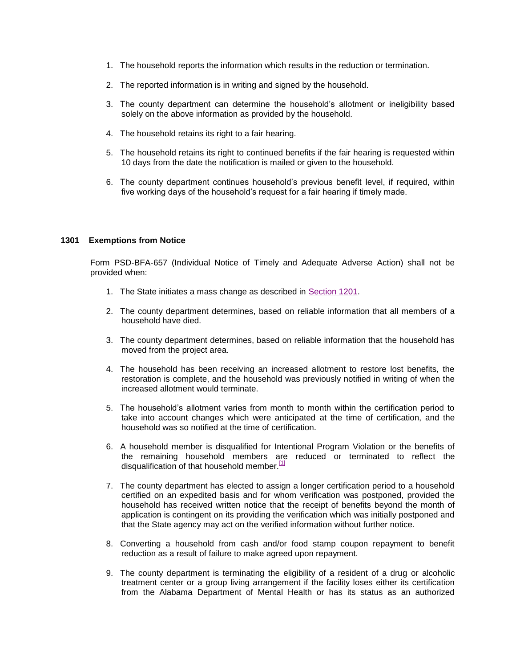- 1. The household reports the information which results in the reduction or termination.
- 2. The reported information is in writing and signed by the household.
- 3. The county department can determine the household's allotment or ineligibility based solely on the above information as provided by the household.
- 4. The household retains its right to a fair hearing.
- 5. The household retains its right to continued benefits if the fair hearing is requested within 10 days from the date the notification is mailed or given to the household.
- 6. The county department continues household's previous benefit level, if required, within five working days of the household's request for a fair hearing if timely made.

### **1301 Exemptions from Notice**

Form PSD-BFA-657 (Individual Notice of Timely and Adequate Adverse Action) shall not be provided when:

- 1. The State initiates a mass change as described in [Section 1201.](http://dhr.alabama.gov/POE/chapter/CHAPTER%20121.htm#Section_1201)
- 2. The county department determines, based on reliable information that all members of a household have died.
- 3. The county department determines, based on reliable information that the household has moved from the project area.
- 4. The household has been receiving an increased allotment to restore lost benefits, the restoration is complete, and the household was previously notified in writing of when the increased allotment would terminate.
- 5. The household's allotment varies from month to month within the certification period to take into account changes which were anticipated at the time of certification, and the household was so notified at the time of certification.
- 6. A household member is disqualified for Intentional Program Violation or the benefits of the remaining household members are reduced or terminated to reflect the disqualification of that household member.<sup>[\[1\]](http://dhr.alabama.gov/POE/chapter/CHAPTER%20131.htm#_ftn1)</sup>
- 7. The county department has elected to assign a longer certification period to a household certified on an expedited basis and for whom verification was postponed, provided the household has received written notice that the receipt of benefits beyond the month of application is contingent on its providing the verification which was initially postponed and that the State agency may act on the verified information without further notice.
- 8. Converting a household from cash and/or food stamp coupon repayment to benefit reduction as a result of failure to make agreed upon repayment.
- 9. The county department is terminating the eligibility of a resident of a drug or alcoholic treatment center or a group living arrangement if the facility loses either its certification from the Alabama Department of Mental Health or has its status as an authorized